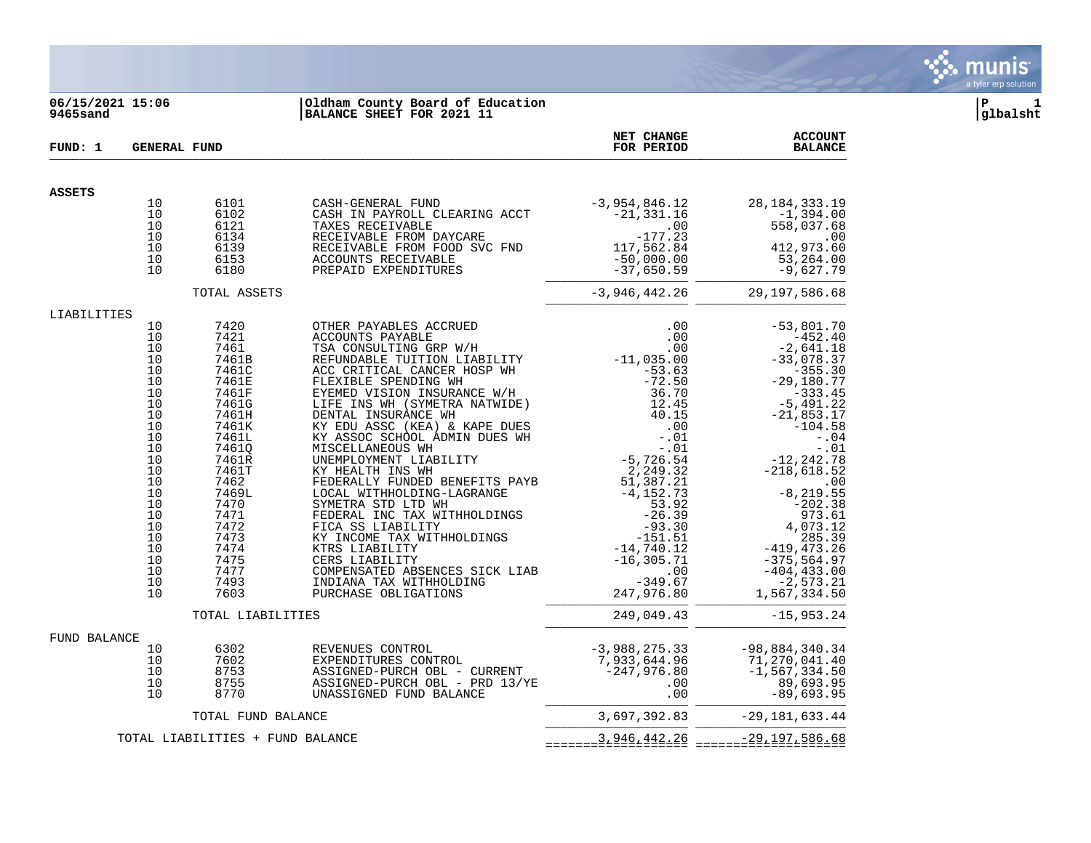

# **06/15/2021 15:06 |Oldham County Board of Education |P 1 9465sand |BALANCE SHEET FOR 2021 11 |glbalsht**

| FUND: 1                                                                                                                                | <b>GENERAL FUND</b>                                                                                                                                                                                     |                                                                                                                                                                                                                                                                                                                                                                                                                                                                                                                                                                                                                                                  | NET CHANGE<br>FOR PERIOD                                                                                                                                                                                                                                | <b>ACCOUNT</b><br><b>BALANCE</b>                                                                                                                                                                                                                                                                                               |
|----------------------------------------------------------------------------------------------------------------------------------------|---------------------------------------------------------------------------------------------------------------------------------------------------------------------------------------------------------|--------------------------------------------------------------------------------------------------------------------------------------------------------------------------------------------------------------------------------------------------------------------------------------------------------------------------------------------------------------------------------------------------------------------------------------------------------------------------------------------------------------------------------------------------------------------------------------------------------------------------------------------------|---------------------------------------------------------------------------------------------------------------------------------------------------------------------------------------------------------------------------------------------------------|--------------------------------------------------------------------------------------------------------------------------------------------------------------------------------------------------------------------------------------------------------------------------------------------------------------------------------|
| <b>ASSETS</b>                                                                                                                          |                                                                                                                                                                                                         |                                                                                                                                                                                                                                                                                                                                                                                                                                                                                                                                                                                                                                                  |                                                                                                                                                                                                                                                         |                                                                                                                                                                                                                                                                                                                                |
| 10<br>10<br>10<br>10<br>10                                                                                                             | 6101<br>6102<br>6121<br>6134<br>6139                                                                                                                                                                    | CASH-GENERAL FUND<br>CASH IN PAYROLL CLEARING ACCT<br>TAXES RECEIVABLE<br>RECEIVABLE FROM DAYCARE<br>RECEIVABLE FROM FOOD SVC FND                                                                                                                                                                                                                                                                                                                                                                                                                                                                                                                | $-3,954,846.12$<br>$-21, 331.16$<br>$.00 \,$<br>$-177.23$<br>$117, \overline{562.84}$<br>-50,000.00                                                                                                                                                     | 28, 184, 333. 19<br>-1,394.00<br>558,037.68<br>.00<br>412,973.60                                                                                                                                                                                                                                                               |
| 10<br>10                                                                                                                               | 6153<br>6180                                                                                                                                                                                            | ACCOUNTS RECEIVABLE<br>PREPAID EXPENDITURES                                                                                                                                                                                                                                                                                                                                                                                                                                                                                                                                                                                                      | $-50,000.00$<br>$-37,650.59$                                                                                                                                                                                                                            | 53,264.00<br>$-9,627.79$                                                                                                                                                                                                                                                                                                       |
|                                                                                                                                        | TOTAL ASSETS                                                                                                                                                                                            |                                                                                                                                                                                                                                                                                                                                                                                                                                                                                                                                                                                                                                                  | $-3,946,442.26$                                                                                                                                                                                                                                         | 29, 197, 586.68                                                                                                                                                                                                                                                                                                                |
| LIABILITIES                                                                                                                            |                                                                                                                                                                                                         |                                                                                                                                                                                                                                                                                                                                                                                                                                                                                                                                                                                                                                                  |                                                                                                                                                                                                                                                         |                                                                                                                                                                                                                                                                                                                                |
| 10<br>10<br>10<br>10<br>10<br>10<br>10<br>10<br>10<br>10<br>10<br>10<br>10<br>10<br>10<br>10<br>10<br>10<br>10<br>10<br>10<br>10<br>10 | 7420<br>7421<br>7461<br>7461B<br>7461C<br><b>7461E</b><br>7461F<br>7461G<br>7461H<br>7461K<br>7461L<br>74610<br>7461R<br>7461T<br>7462<br>7469L<br>7470<br>7471<br>7472<br>7473<br>7474<br>7475<br>7477 | OTHER PAYABLES ACCRUED<br>ACCOUNTS PAYABLE<br>TSA CONSULTING GRP W/H<br>REFUNDABLE TUITION LIABILITY -11,035.00<br>ACC CRITICAL CANCER HOSP WH<br>FLEXIBLE SPENDING WH<br>EYEMED VISION INSURANCE W/H<br>LIFE INS WH (SYMETRA NATWIDE)<br>DENTAL INSURANCE WH<br>KY EDU ASSC (KEA) & KAPE DUES<br>KY ASSOC SCHOOL ADMIN DUES WH<br>MISCELLANEOUS WH<br>UNEMPLOYMENT LIABILITY<br>KY HEALTH INS WH<br>FEDERALLY FUNDED BENEFITS PAYB<br>LOCAL WITHHOLDING-LAGRANGE<br>SYMETRA STD LTD WH<br>FEDERAL INC TAX WITHHOLDINGS<br>FICA SS LIABILITY<br>KY INCOME TAX WITHHOLDINGS<br>KTRS LIABILITY<br>CERS LIABILITY<br>COMPENSATED ABSENCES SICK LIAB | .00<br>.00<br>$-53.63$<br>$-72.50$<br>36.70<br>$12.45$<br>$40.15$<br>.00<br>$-.01$<br>$-0.01$<br>$-5,726.54$<br>2,249.32<br>51,387.21<br>$-4, 152.73$<br>53.92<br>$-26.39$<br>$-93.30$<br>$-93.30$<br>$-151.51$<br>$-14,740.12$<br>$-16, 305.71$<br>.00 | $-53,801.70$<br>$-452.40$<br>$-2,641.18$<br>$-33,078.37$<br>$-355.30$<br>$-29,180.77$<br>$-333.45$<br>$-5,491.22$<br>$-21,853.17$<br>$-104.58$<br>$-.04$<br>$-.01$<br>$-12, 242.78$<br>$-218,618.52$<br>.00<br>$-8, 219.55$<br>$-202.38$<br>973.61<br>4,073.12<br>285.39<br>$-419, 473.26$<br>$-375, 564.97$<br>$-404, 433.00$ |
| 10<br>10                                                                                                                               | 7493<br>7603                                                                                                                                                                                            | INDIANA TAX WITHHOLDING<br>PURCHASE OBLIGATIONS                                                                                                                                                                                                                                                                                                                                                                                                                                                                                                                                                                                                  | $-349.67$<br>247,976.80                                                                                                                                                                                                                                 | $-2,573.21$<br>1,567,334.50                                                                                                                                                                                                                                                                                                    |
|                                                                                                                                        | TOTAL LIABILITIES                                                                                                                                                                                       |                                                                                                                                                                                                                                                                                                                                                                                                                                                                                                                                                                                                                                                  | 249,049.43                                                                                                                                                                                                                                              | $-15,953.24$                                                                                                                                                                                                                                                                                                                   |
| FUND BALANCE                                                                                                                           |                                                                                                                                                                                                         |                                                                                                                                                                                                                                                                                                                                                                                                                                                                                                                                                                                                                                                  |                                                                                                                                                                                                                                                         |                                                                                                                                                                                                                                                                                                                                |
| 10<br>10<br>10<br>10<br>10                                                                                                             | 6302<br>7602<br>8753<br>8755<br>8770                                                                                                                                                                    | REVENUES CONTROL<br>EXPENDITURES CONTROL<br>ASSIGNED-PURCH OBL - CURRENT<br>ASSIGNED-PURCH OBL - PRD 13/YE<br>UNASSIGNED FUND BALANCE                                                                                                                                                                                                                                                                                                                                                                                                                                                                                                            | $-3,988,275.33$<br>7,933,644.96<br>$-247,976.80$<br>.00<br>.00                                                                                                                                                                                          | $-98,884,340.34$<br>71,270,041.40<br>$-1, 567, 334.50$<br>89,693.95<br>$-89,693.95$                                                                                                                                                                                                                                            |
|                                                                                                                                        | TOTAL FUND BALANCE                                                                                                                                                                                      |                                                                                                                                                                                                                                                                                                                                                                                                                                                                                                                                                                                                                                                  | 3,697,392.83                                                                                                                                                                                                                                            | $-29,181,633.44$                                                                                                                                                                                                                                                                                                               |
|                                                                                                                                        | TOTAL LIABILITIES + FUND BALANCE                                                                                                                                                                        |                                                                                                                                                                                                                                                                                                                                                                                                                                                                                                                                                                                                                                                  | $=$ = = = = = = $=$ $\frac{3}{2}$ $\frac{946}{2}$ $\frac{442}{2}$ $\frac{26}{2}$                                                                                                                                                                        |                                                                                                                                                                                                                                                                                                                                |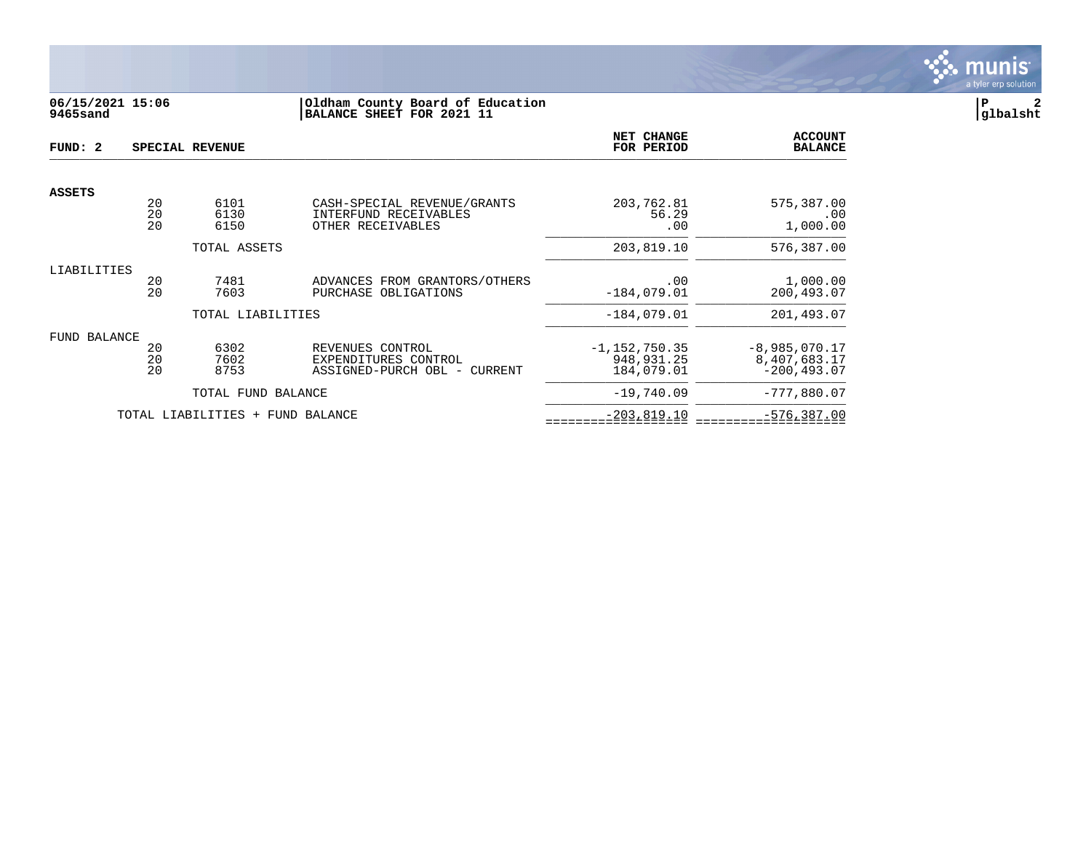

# **06/15/2021 15:06 |Oldham County Board of Education |P 2 9465sand |BALANCE SHEET FOR 2021 11 |glbalsht**

| FUND: 2       |          | SPECIAL REVENUE                  |                                                         | NET CHANGE<br>FOR PERIOD   | <b>ACCOUNT</b><br><b>BALANCE</b> |
|---------------|----------|----------------------------------|---------------------------------------------------------|----------------------------|----------------------------------|
|               |          |                                  |                                                         |                            |                                  |
| <b>ASSETS</b> | 20       | 6101                             | CASH-SPECIAL REVENUE/GRANTS                             | 203,762.81                 | 575,387.00                       |
|               | 20<br>20 | 6130<br>6150                     | INTERFUND RECEIVABLES<br>OTHER RECEIVABLES              | 56.29<br>.00               | .00<br>1,000.00                  |
|               |          | TOTAL ASSETS                     |                                                         | 203,819.10                 | 576,387.00                       |
| LIABILITIES   |          |                                  |                                                         |                            |                                  |
|               | 20<br>20 | 7481<br>7603                     | ADVANCES FROM GRANTORS/OTHERS<br>PURCHASE OBLIGATIONS   | .00<br>$-184,079.01$       | 1,000.00<br>200,493.07           |
|               |          | TOTAL LIABILITIES                |                                                         | $-184,079.01$              | 201,493.07                       |
| FUND BALANCE  |          |                                  |                                                         |                            |                                  |
|               | 20       | 6302                             | REVENUES CONTROL                                        | $-1, 152, 750.35$          | $-8,985,070.17$                  |
|               | 20<br>20 | 7602<br>8753                     | EXPENDITURES CONTROL<br>ASSIGNED-PURCH OBL -<br>CURRENT | 948, 931. 25<br>184,079.01 | 8,407,683.17<br>$-200, 493.07$   |
|               |          | TOTAL FUND BALANCE               |                                                         | $-19,740.09$               | $-777,880.07$                    |
|               |          | TOTAL LIABILITIES + FUND BALANCE |                                                         | $-203,819.10$              | $-576, 387.00$                   |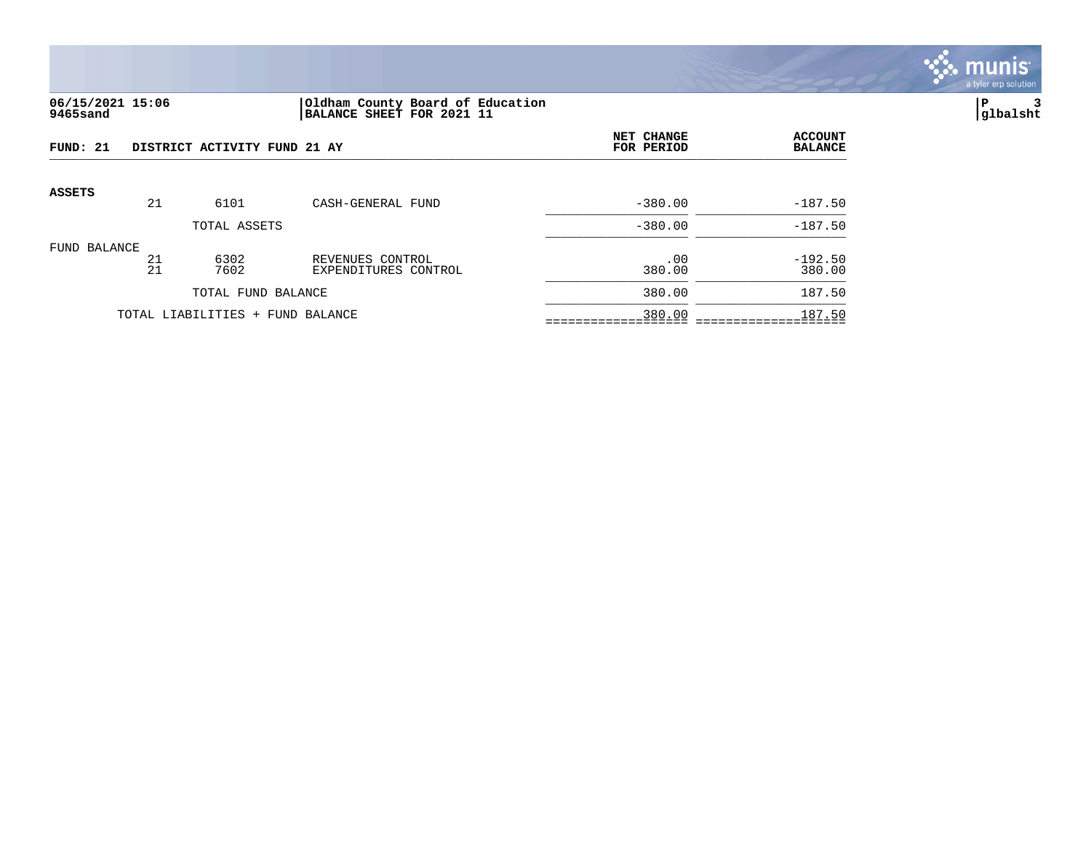

## **06/15/2021 15:06 |Oldham County Board of Education |P 3 9465sand |BALANCE SHEET FOR 2021 11 |glbalsht**

| FUND: 21     |          | DISTRICT ACTIVITY FUND 21 AY     |                                          | <b>NET CHANGE</b><br>FOR PERIOD | <b>ACCOUNT</b><br><b>BALANCE</b> |
|--------------|----------|----------------------------------|------------------------------------------|---------------------------------|----------------------------------|
| ASSETS       |          |                                  |                                          |                                 |                                  |
|              | 21       | 6101                             | CASH-GENERAL FUND                        | $-380.00$                       | $-187.50$                        |
|              |          | TOTAL ASSETS                     |                                          | $-380.00$                       | $-187.50$                        |
| FUND BALANCE | 21<br>21 | 6302<br>7602                     | REVENUES CONTROL<br>EXPENDITURES CONTROL | .00<br>380.00                   | $-192.50$<br>380.00              |
|              |          | TOTAL FUND BALANCE               |                                          | 380.00                          | 187.50                           |
|              |          | TOTAL LIABILITIES + FUND BALANCE |                                          | 380.00                          | 187.50                           |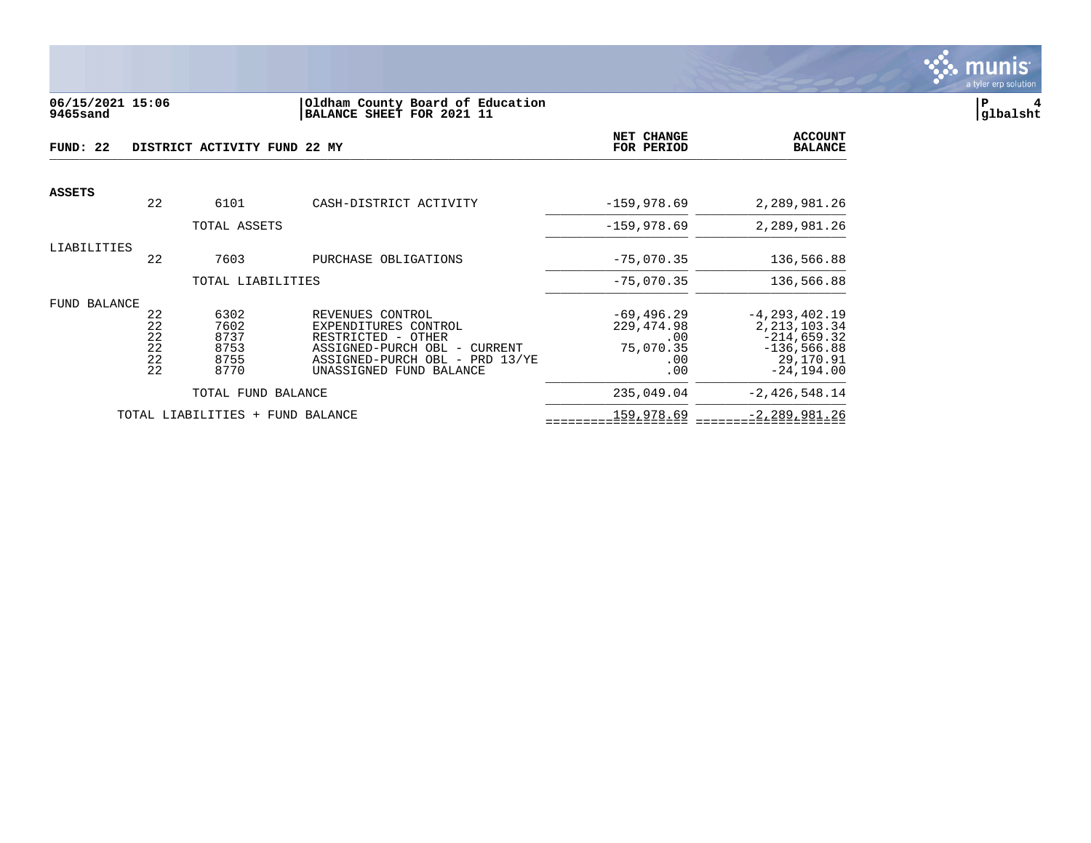

#### **06/15/2021 15:06 |Oldham County Board of Education |P 4 9465sand |BALANCE SHEET FOR 2021 11 |glbalsht**

| FUND: 22      |                                  | DISTRICT ACTIVITY FUND 22 MY                 |                                                                                                                                                                | NET CHANGE<br>FOR PERIOD                                        | <b>ACCOUNT</b><br><b>BALANCE</b>                                                                     |
|---------------|----------------------------------|----------------------------------------------|----------------------------------------------------------------------------------------------------------------------------------------------------------------|-----------------------------------------------------------------|------------------------------------------------------------------------------------------------------|
| <b>ASSETS</b> |                                  |                                              |                                                                                                                                                                |                                                                 |                                                                                                      |
|               | 22                               | 6101                                         | CASH-DISTRICT ACTIVITY                                                                                                                                         | $-159,978.69$                                                   | 2,289,981.26                                                                                         |
|               |                                  | TOTAL ASSETS                                 |                                                                                                                                                                | $-159,978.69$                                                   | 2,289,981.26                                                                                         |
| LIABILITIES   | 22                               | 7603                                         | PURCHASE OBLIGATIONS                                                                                                                                           | $-75,070.35$                                                    | 136,566.88                                                                                           |
|               |                                  | TOTAL LIABILITIES                            |                                                                                                                                                                | $-75,070.35$                                                    | 136,566.88                                                                                           |
| FUND BALANCE  | 22<br>22<br>22<br>22<br>22<br>22 | 6302<br>7602<br>8737<br>8753<br>8755<br>8770 | REVENUES CONTROL<br>EXPENDITURES CONTROL<br>RESTRICTED - OTHER<br>ASSIGNED-PURCH OBL -<br>CURRENT<br>ASSIGNED-PURCH OBL - PRD 13/YE<br>UNASSIGNED FUND BALANCE | $-69, 496, 29$<br>229, 474.98<br>.00<br>75,070.35<br>.00<br>.00 | $-4, 293, 402.19$<br>2, 213, 103. 34<br>$-214,659.32$<br>$-136,566.88$<br>29,170.91<br>$-24, 194.00$ |
|               |                                  | TOTAL FUND BALANCE                           |                                                                                                                                                                | 235,049.04                                                      | $-2,426,548.14$                                                                                      |
|               |                                  | TOTAL LIABILITIES + FUND BALANCE             |                                                                                                                                                                | 159,978.69                                                      | $-2, 289, 981.26$                                                                                    |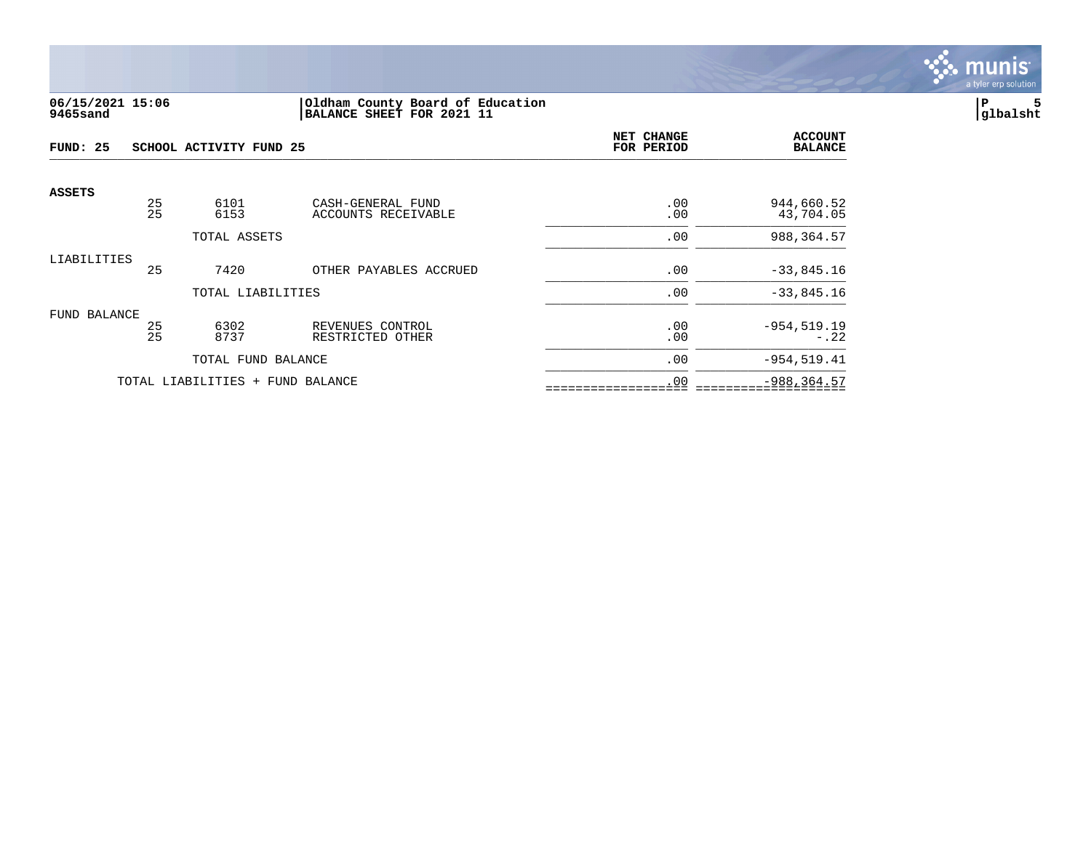

# **06/15/2021 15:06 |Oldham County Board of Education |P 5 9465sand |BALANCE SHEET FOR 2021 11 |glbalsht**

| FUND: 25      |          | SCHOOL ACTIVITY FUND 25          |                                      | NET CHANGE<br>FOR PERIOD | <b>ACCOUNT</b><br><b>BALANCE</b> |
|---------------|----------|----------------------------------|--------------------------------------|--------------------------|----------------------------------|
| <b>ASSETS</b> | 25       | 6101                             | CASH-GENERAL FUND                    | .00                      | 944,660.52                       |
|               | 25       | 6153                             | ACCOUNTS RECEIVABLE                  | .00                      | 43,704.05                        |
|               |          | TOTAL ASSETS                     |                                      | .00                      | 988, 364.57                      |
| LIABILITIES   |          |                                  |                                      |                          |                                  |
|               | 25       | 7420                             | OTHER PAYABLES ACCRUED               | .00                      | $-33,845.16$                     |
|               |          | TOTAL LIABILITIES                |                                      | .00                      | $-33,845.16$                     |
| FUND BALANCE  |          |                                  |                                      |                          |                                  |
|               | 25<br>25 | 6302<br>8737                     | REVENUES CONTROL<br>RESTRICTED OTHER | .00<br>.00               | $-954, 519.19$<br>$-.22$         |
|               |          | TOTAL FUND BALANCE               |                                      | .00                      | $-954, 519.41$                   |
|               |          | TOTAL LIABILITIES + FUND BALANCE |                                      | .00                      | $-988, 364.57$                   |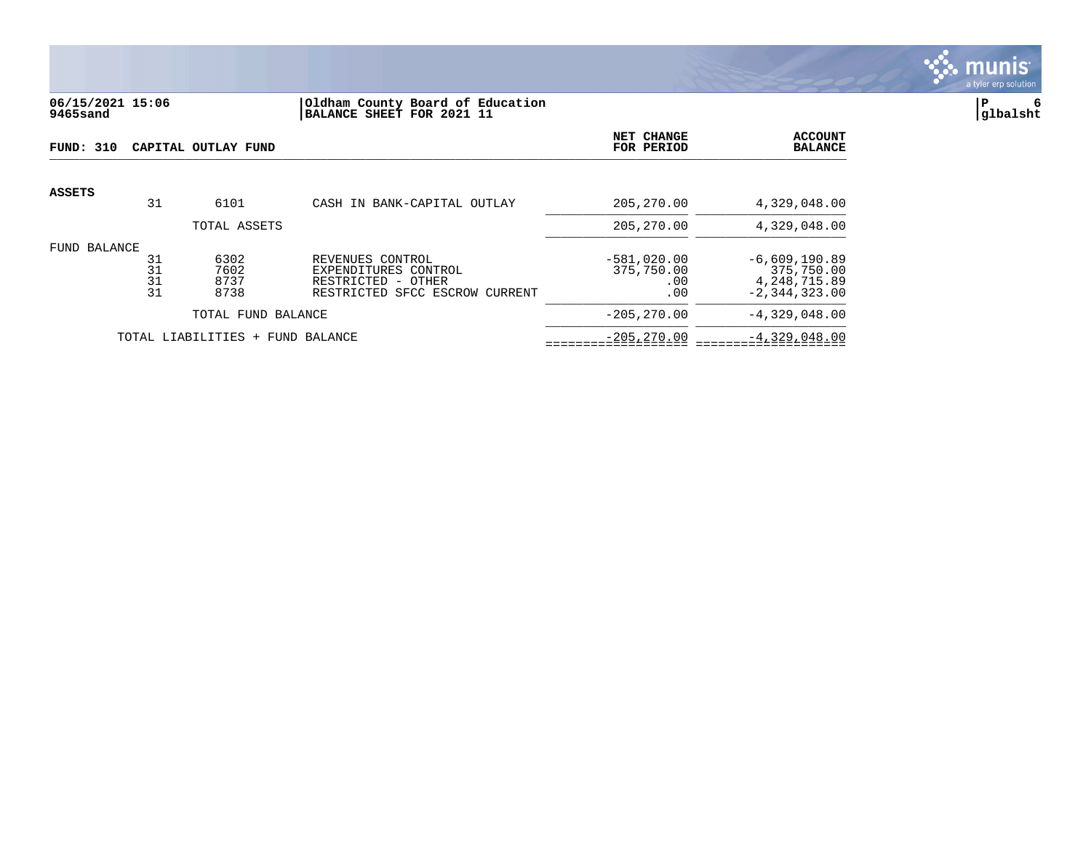

## **06/15/2021 15:06 |Oldham County Board of Education |P 6 9465sand |BALANCE SHEET FOR 2021 11 |glbalsht**

| FUND: 310                           |                      | CAPITAL OUTLAY FUND          |                                                                                                     | NET CHANGE<br>FOR PERIOD                  | <b>ACCOUNT</b><br><b>BALANCE</b>                                      |
|-------------------------------------|----------------------|------------------------------|-----------------------------------------------------------------------------------------------------|-------------------------------------------|-----------------------------------------------------------------------|
| <b>ASSETS</b>                       | 31                   | 6101                         | CASH IN BANK-CAPITAL OUTLAY                                                                         | 205, 270.00                               | 4,329,048.00                                                          |
|                                     |                      | TOTAL ASSETS                 |                                                                                                     | 205,270.00                                | 4,329,048.00                                                          |
| FUND BALANCE                        | 31<br>31<br>31<br>31 | 6302<br>7602<br>8737<br>8738 | REVENUES CONTROL<br>EXPENDITURES CONTROL<br>RESTRICTED -<br>OTHER<br>RESTRICTED SFCC ESCROW CURRENT | $-581,020.00$<br>375,750.00<br>.00<br>.00 | $-6,609,190.89$<br>375,750.00<br>4, 248, 715.89<br>$-2, 344, 323, 00$ |
| TOTAL FUND BALANCE                  |                      |                              | $-205, 270.00$                                                                                      | $-4,329,048.00$                           |                                                                       |
| TOTAL LIABILITIES +<br>FUND BALANCE |                      |                              | $-205, 270.00$                                                                                      | $-4,329,048.00$                           |                                                                       |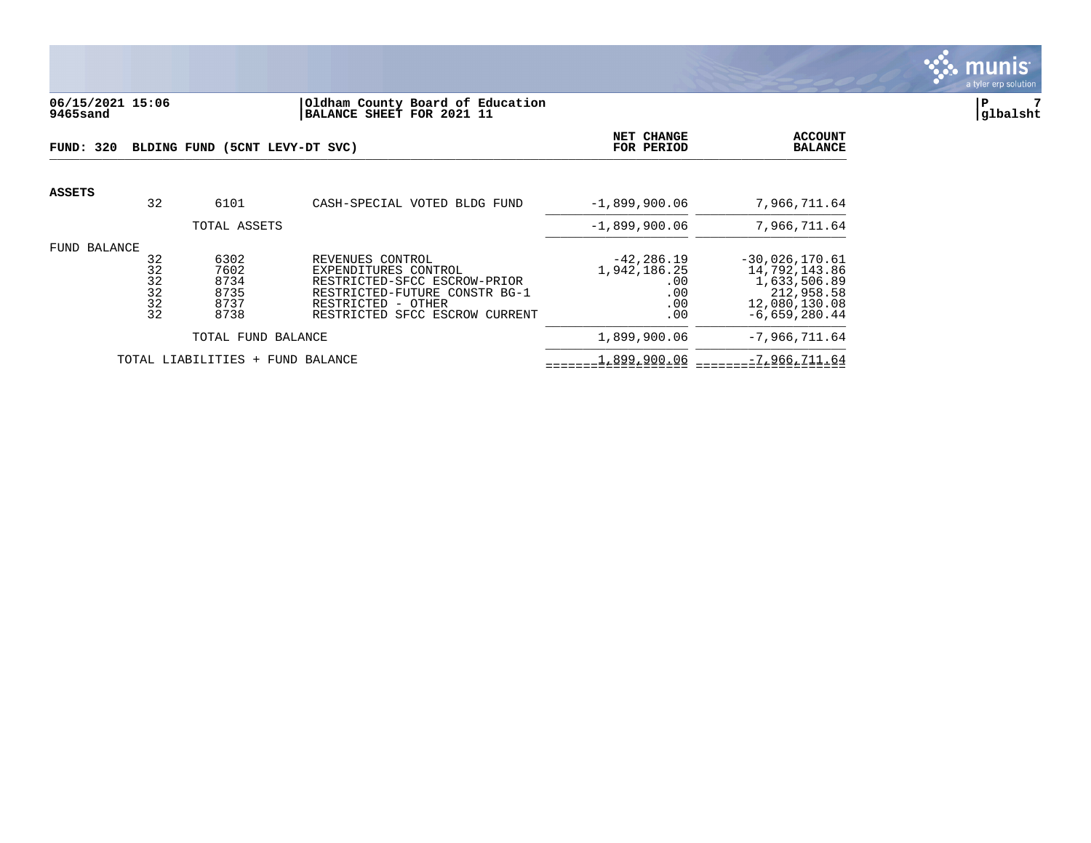

#### **06/15/2021 15:06 |Oldham County Board of Education |P 7 9465sand |BALANCE SHEET FOR 2021 11 |glbalsht**

| FUND: 320     |                                  | BLDING FUND (5CNT LEVY-DT SVC)               | NET CHANGE<br>FOR PERIOD                                                                                                                                          | <b>ACCOUNT</b><br><b>BALANCE</b>                          |                                                                                                     |
|---------------|----------------------------------|----------------------------------------------|-------------------------------------------------------------------------------------------------------------------------------------------------------------------|-----------------------------------------------------------|-----------------------------------------------------------------------------------------------------|
| <b>ASSETS</b> | 32                               | 6101                                         | CASH-SPECIAL VOTED BLDG FUND                                                                                                                                      | $-1,899,900.06$                                           | 7,966,711.64                                                                                        |
|               |                                  | TOTAL ASSETS                                 |                                                                                                                                                                   | $-1,899,900.06$                                           | 7,966,711.64                                                                                        |
| FUND BALANCE  | 32<br>32<br>32<br>32<br>32<br>32 | 6302<br>7602<br>8734<br>8735<br>8737<br>8738 | REVENUES CONTROL<br>EXPENDITURES CONTROL<br>RESTRICTED-SFCC ESCROW-PRIOR<br>RESTRICTED-FUTURE CONSTR BG-1<br>RESTRICTED - OTHER<br>RESTRICTED SFCC ESCROW CURRENT | $-42, 286.19$<br>1,942,186.25<br>.00<br>.00<br>.00<br>.00 | $-30,026,170.61$<br>14,792,143.86<br>1,633,506.89<br>212,958.58<br>12,080,130.08<br>$-6,659,280.44$ |
|               |                                  | TOTAL FUND BALANCE                           |                                                                                                                                                                   | 1,899,900.06                                              | $-7,966,711.64$                                                                                     |
|               |                                  | TOTAL LIABILITIES + FUND BALANCE             |                                                                                                                                                                   | 1,899,900.06                                              | $-7,966,711.64$                                                                                     |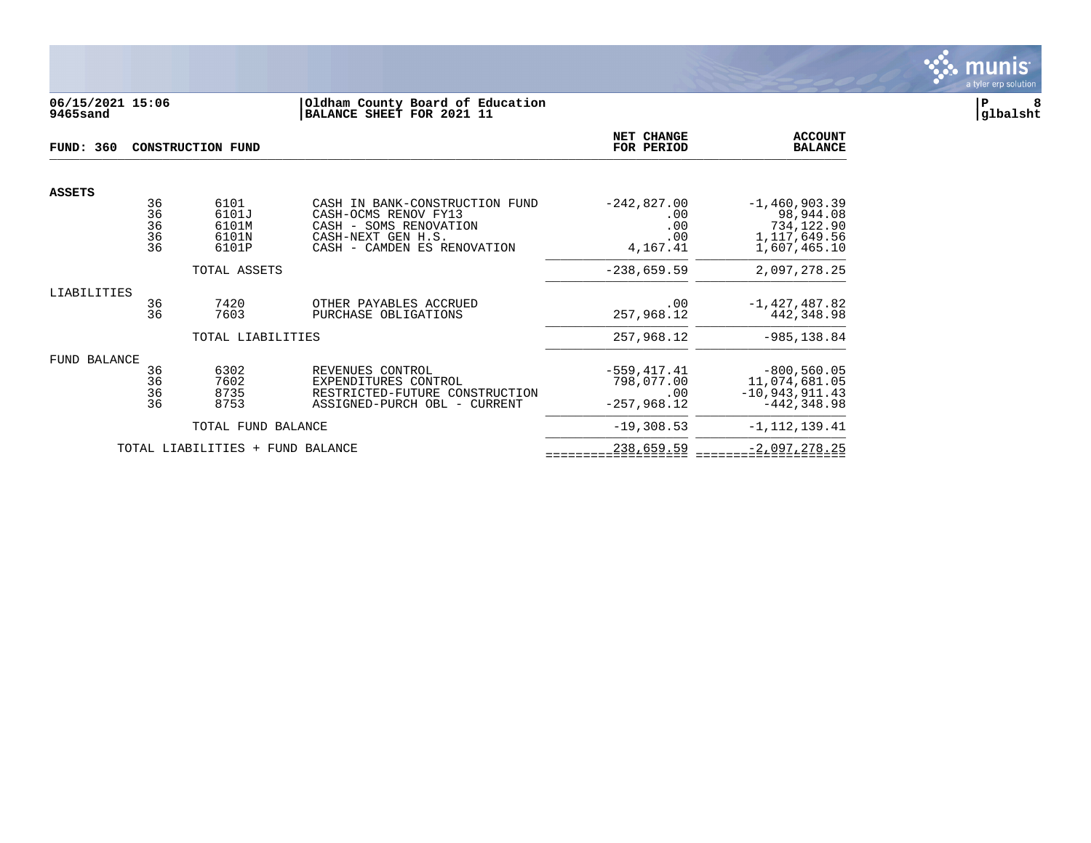

### **06/15/2021 15:06 |Oldham County Board of Education |P 8 9465sand |BALANCE SHEET FOR 2021 11 |glbalsht**

| FUND: 360                                       |                            | <b>CONSTRUCTION FUND</b>                 | <b>NET CHANGE</b><br>FOR PERIOD                                                                                                       | <b>ACCOUNT</b><br><b>BALANCE</b>                     |                                                                            |
|-------------------------------------------------|----------------------------|------------------------------------------|---------------------------------------------------------------------------------------------------------------------------------------|------------------------------------------------------|----------------------------------------------------------------------------|
| <b>ASSETS</b>                                   |                            |                                          |                                                                                                                                       |                                                      |                                                                            |
|                                                 | 36<br>36<br>36<br>36<br>36 | 6101<br>6101J<br>6101M<br>6101N<br>6101P | CASH IN BANK-CONSTRUCTION FUND<br>CASH-OCMS RENOV FY13<br>CASH - SOMS RENOVATION<br>CASH-NEXT GEN H.S.<br>CASH - CAMDEN ES RENOVATION | $-242,827.00$<br>.00<br>.00<br>.00<br>4,167.41       | $-1,460,903.39$<br>98,944.08<br>734,122.90<br>1,117,649.56<br>1,607,465.10 |
|                                                 |                            | TOTAL ASSETS                             |                                                                                                                                       | $-238,659.59$                                        | 2,097,278.25                                                               |
| LIABILITIES                                     |                            |                                          |                                                                                                                                       |                                                      |                                                                            |
|                                                 | 36<br>36                   | 7420<br>7603                             | OTHER PAYABLES ACCRUED<br>PURCHASE OBLIGATIONS                                                                                        | .00<br>257,968.12                                    | $-1,427,487.82$<br>442,348.98                                              |
|                                                 |                            | TOTAL LIABILITIES                        |                                                                                                                                       | 257,968.12                                           | $-985, 138.84$                                                             |
| FUND BALANCE                                    |                            |                                          |                                                                                                                                       |                                                      |                                                                            |
|                                                 | 36<br>36<br>36<br>36       | 6302<br>7602<br>8735<br>8753             | REVENUES CONTROL<br>EXPENDITURES CONTROL<br>RESTRICTED-FUTURE CONSTRUCTION<br>ASSIGNED-PURCH OBL - CURRENT                            | $-559, 417.41$<br>798,077.00<br>.00<br>$-257,968.12$ | $-800, 560.05$<br>11,074,681.05<br>$-10,943,911.43$<br>$-442.348.98$       |
|                                                 |                            | TOTAL FUND BALANCE                       |                                                                                                                                       | $-19,308.53$                                         | $-1, 112, 139.41$                                                          |
| TOTAL LIABILITIES<br><b>FUND BALANCE</b><br>$+$ |                            |                                          | 238,659.59                                                                                                                            | $-2,097,278.25$                                      |                                                                            |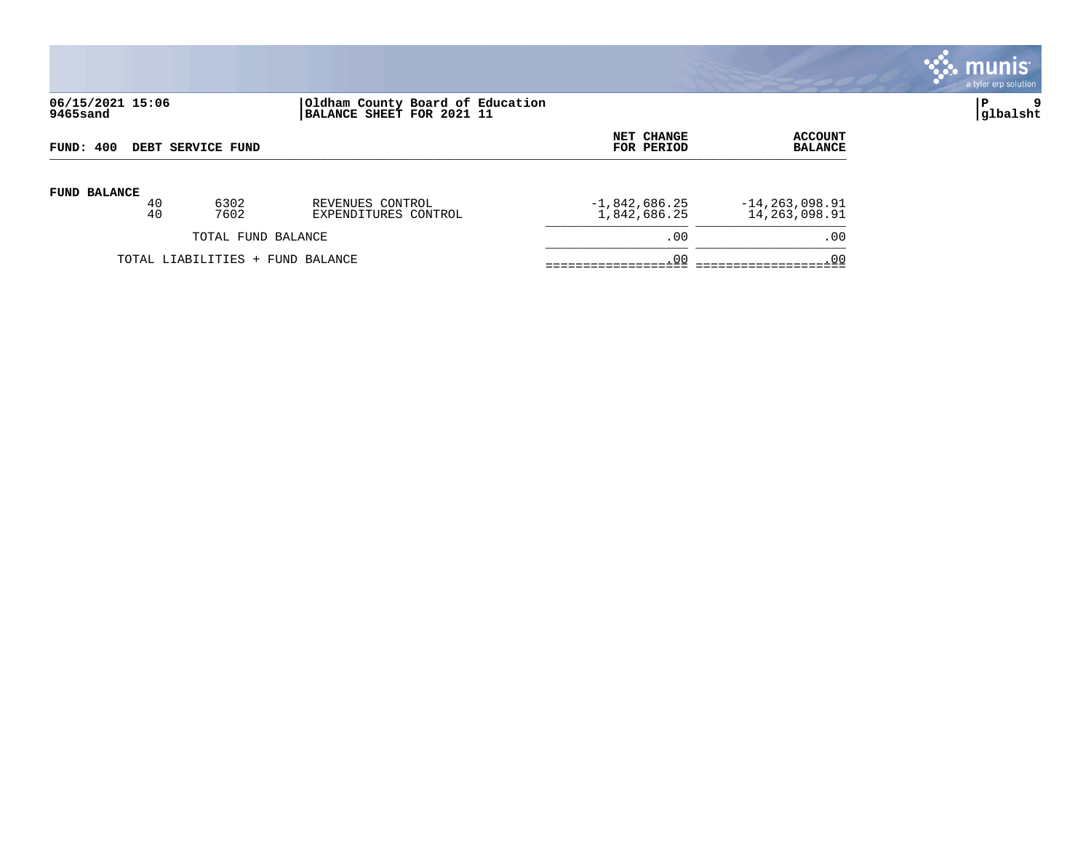

# **06/15/2021 15:06 |Oldham County Board of Education |P 9 9465sand |BALANCE SHEET FOR 2021 11 |glbalsht**

| FUND: 400<br>DEBT SERVICE FUND |          |                                  | NET CHANGE<br>FOR PERIOD                 | <b>ACCOUNT</b><br><b>BALANCE</b> |                                |
|--------------------------------|----------|----------------------------------|------------------------------------------|----------------------------------|--------------------------------|
| <b>FUND BALANCE</b>            | 40<br>40 | 6302<br>7602                     | REVENUES CONTROL<br>EXPENDITURES CONTROL | $-1,842,686.25$<br>1,842,686.25  | 14,263,098.91<br>14,263,098.91 |
|                                |          | TOTAL FUND BALANCE               |                                          | .00                              | .00                            |
|                                |          | TOTAL LIABILITIES + FUND BALANCE |                                          | .00                              | . 00                           |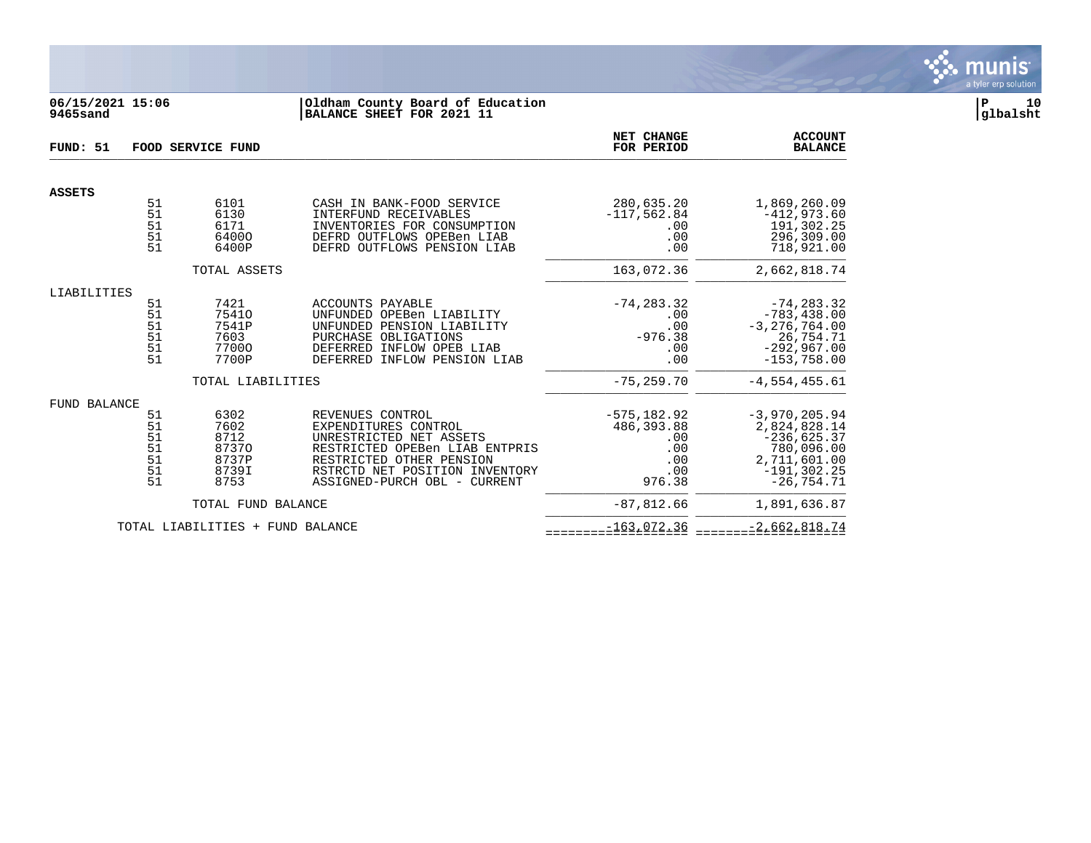

## **06/15/2021 15:06 |Oldham County Board of Education |P 10 9465sand |BALANCE SHEET FOR 2021 11 |glbalsht**

| FUND: 51            | FOOD SERVICE FUND                      |                                                         |                                                                                                                                                                                                     |                                                                    | <b>ACCOUNT</b><br><b>BALANCE</b>                                                                                  |
|---------------------|----------------------------------------|---------------------------------------------------------|-----------------------------------------------------------------------------------------------------------------------------------------------------------------------------------------------------|--------------------------------------------------------------------|-------------------------------------------------------------------------------------------------------------------|
| <b>ASSETS</b>       |                                        |                                                         |                                                                                                                                                                                                     |                                                                    |                                                                                                                   |
|                     | 51<br>51<br>51<br>51<br>51             | 6101<br>6130<br>6171<br>64000<br>6400P                  | CASH IN BANK-FOOD SERVICE<br>INTERFUND RECEIVABLES<br>INVENTORIES FOR CONSUMPTION<br>DEFRD OUTFLOWS OPEBen LIAB<br>DEFRD OUTFLOWS PENSION LIAB                                                      | 280,635.20<br>$-117,562.84$<br>.00<br>.00<br>.00                   | 1,869,260.09<br>$-412,973.60$<br>191,302.25<br>296,309.00<br>718,921.00                                           |
|                     |                                        | TOTAL ASSETS                                            |                                                                                                                                                                                                     | 163,072.36                                                         | 2,662,818.74                                                                                                      |
| LIABILITIES         |                                        |                                                         |                                                                                                                                                                                                     |                                                                    |                                                                                                                   |
|                     | 51<br>51<br>51<br>51<br>51<br>51       | 7421<br>75410<br>7541P<br>7603<br>77000<br>7700P        | ACCOUNTS PAYABLE<br>UNFUNDED OPEBen LIABILITY<br>UNFUNDED PENSION LIABILITY<br>PURCHASE OBLIGATIONS<br>DEFERRED INFLOW OPEB LIAB<br>DEFERRED INFLOW PENSION LIAB                                    | $-74, 283.32$<br>.00<br>.00<br>$-976.38$<br>.00<br>.00             | $-74, 283.32$<br>$-783, 438.00$<br>$-3, 276, 764.00$<br>26,754.71<br>$-292,967.00$<br>$-153,758.00$               |
|                     |                                        | TOTAL LIABILITIES                                       |                                                                                                                                                                                                     | $-75, 259.70$                                                      | $-4, 554, 455.61$                                                                                                 |
| <b>FUND BALANCE</b> | 51<br>51<br>51<br>51<br>51<br>51<br>51 | 6302<br>7602<br>8712<br>87370<br>8737P<br>8739I<br>8753 | REVENUES CONTROL<br>EXPENDITURES CONTROL<br>UNRESTRICTED NET ASSETS<br>RESTRICTED OPEBen LIAB ENTPRIS<br>RESTRICTED OTHER PENSION<br>RSTRCTD NET POSITION INVENTORY<br>ASSIGNED-PURCH OBL - CURRENT | $-575, 182.92$<br>486,393.88<br>.00<br>.00<br>.00<br>.00<br>976.38 | $-3,970,205.94$<br>2,824,828.14<br>$-236,625.37$<br>780,096.00<br>2,711,601.00<br>$-191, 302.25$<br>$-26, 754.71$ |
|                     |                                        | TOTAL FUND BALANCE                                      |                                                                                                                                                                                                     | $-87,812.66$                                                       | 1,891,636.87                                                                                                      |
|                     |                                        | TOTAL LIABILITIES + FUND BALANCE                        |                                                                                                                                                                                                     | $-163,072.36$                                                      | $-2,662,818.74$                                                                                                   |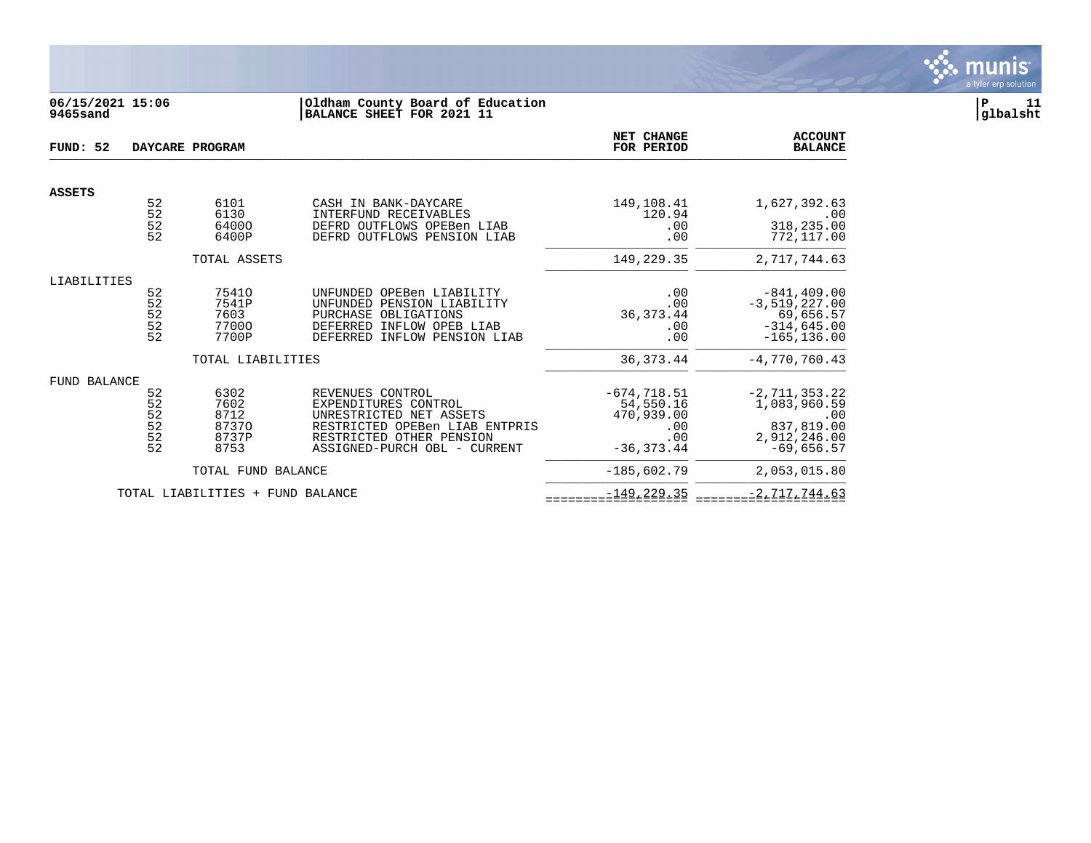

# **06/15/2021 15:06 |Oldham County Board of Education |P 11 9465sand |BALANCE SHEET FOR 2021 11 |glbalsht**

| FUND: 52            |                                   | DAYCARE PROGRAM                                               |                                                                                                                                                                   | NET CHANGE<br>FOR PERIOD                                                 | <b>ACCOUNT</b><br><b>BALANCE</b>                                                                     |
|---------------------|-----------------------------------|---------------------------------------------------------------|-------------------------------------------------------------------------------------------------------------------------------------------------------------------|--------------------------------------------------------------------------|------------------------------------------------------------------------------------------------------|
| <b>ASSETS</b>       |                                   |                                                               |                                                                                                                                                                   |                                                                          |                                                                                                      |
|                     | 52<br>$\overline{52}$<br>52<br>52 | 6101<br>6130<br>64000<br>6400P                                | CASH IN BANK-DAYCARE<br>INTERFUND RECEIVABLES<br>DEFRD OUTFLOWS OPEBen LIAB<br>DEFRD OUTFLOWS PENSION LIAB                                                        | 149,108.41<br>120.94<br>.00<br>.00                                       | 1,627,392.63<br>.00<br>318,235.00<br>772,117.00                                                      |
|                     |                                   | TOTAL ASSETS                                                  |                                                                                                                                                                   | 149,229.35                                                               | 2,717,744.63                                                                                         |
| LIABILITIES         | 52<br>52<br>$\frac{52}{52}$<br>52 | 75410<br>7541P<br>7603<br>77000<br>7700P<br>TOTAL LIABILITIES | UNFUNDED OPEBen LIABILITY<br>UNFUNDED PENSION LIABILITY<br>PURCHASE OBLIGATIONS<br>DEFERRED INFLOW OPEB LIAB<br>DEFERRED INFLOW PENSION LIAB                      | .00<br>.00<br>36, 373. 44<br>.00<br>.00<br>36, 373. 44                   | $-841, 409.00$<br>$-3,519,227.00$<br>69,656.57<br>$-314,645.00$<br>$-165, 136.00$<br>$-4,770,760.43$ |
| <b>FUND BALANCE</b> | 52<br>52<br>52<br>52<br>52<br>52  | 6302<br>7602<br>8712<br>87370<br>8737P<br>8753                | REVENUES CONTROL<br>EXPENDITURES CONTROL<br>UNRESTRICTED NET ASSETS<br>RESTRICTED OPEBen LIAB ENTPRIS<br>RESTRICTED OTHER PENSION<br>ASSIGNED-PURCH OBL - CURRENT | $-674, 718.51$<br>54,550.16<br>470,939.00<br>.00<br>.00<br>$-36, 373.44$ | $-2, 711, 353.22$<br>1,083,960.59<br>.00<br>837,819.00<br>2,912,246.00<br>$-69,656.57$               |
|                     |                                   | TOTAL FUND BALANCE                                            |                                                                                                                                                                   | $-185,602.79$                                                            | 2,053,015.80                                                                                         |
|                     |                                   | TOTAL LIABILITIES + FUND BALANCE                              |                                                                                                                                                                   | $-149, 229.35$                                                           | $-2, 717, 744.63$                                                                                    |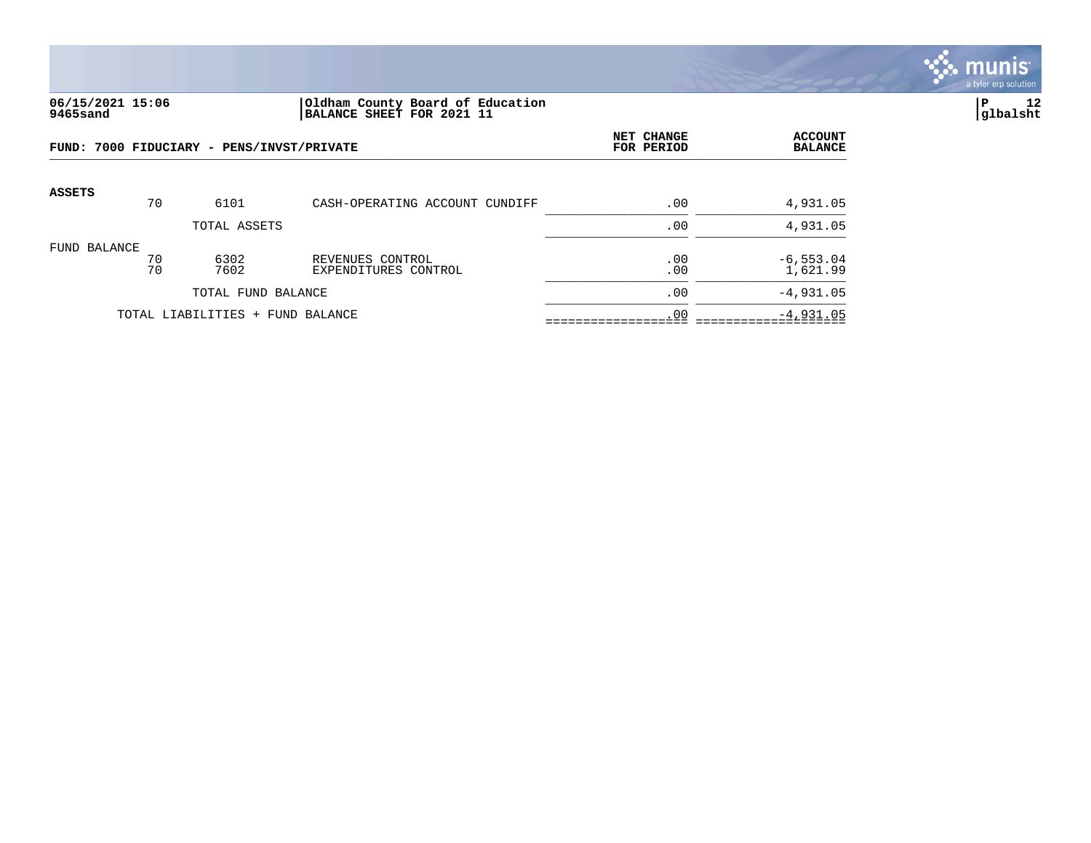

#### **06/15/2021 15:06 |Oldham County Board of Education |P 12 9465sand |BALANCE SHEET FOR 2021 11 |glbalsht**

| FUND: 7000 FIDUCIARY - PENS/INVST/PRIVATE |          |                                  |                                          | <b>NET CHANGE</b><br>FOR PERIOD | <b>ACCOUNT</b><br><b>BALANCE</b> |
|-------------------------------------------|----------|----------------------------------|------------------------------------------|---------------------------------|----------------------------------|
| <b>ASSETS</b>                             | 70       | 6101                             | CASH-OPERATING ACCOUNT CUNDIFF           | .00                             | 4,931.05                         |
|                                           |          | TOTAL ASSETS                     |                                          | .00                             | 4,931.05                         |
| FUND BALANCE                              | 70<br>70 | 6302<br>7602                     | REVENUES CONTROL<br>EXPENDITURES CONTROL | .00<br>.00                      | $-6, 553.04$<br>1,621.99         |
| TOTAL FUND BALANCE                        |          |                                  |                                          | .00                             | $-4,931.05$                      |
|                                           |          | TOTAL LIABILITIES + FUND BALANCE |                                          | .00                             | $-4,931.05$                      |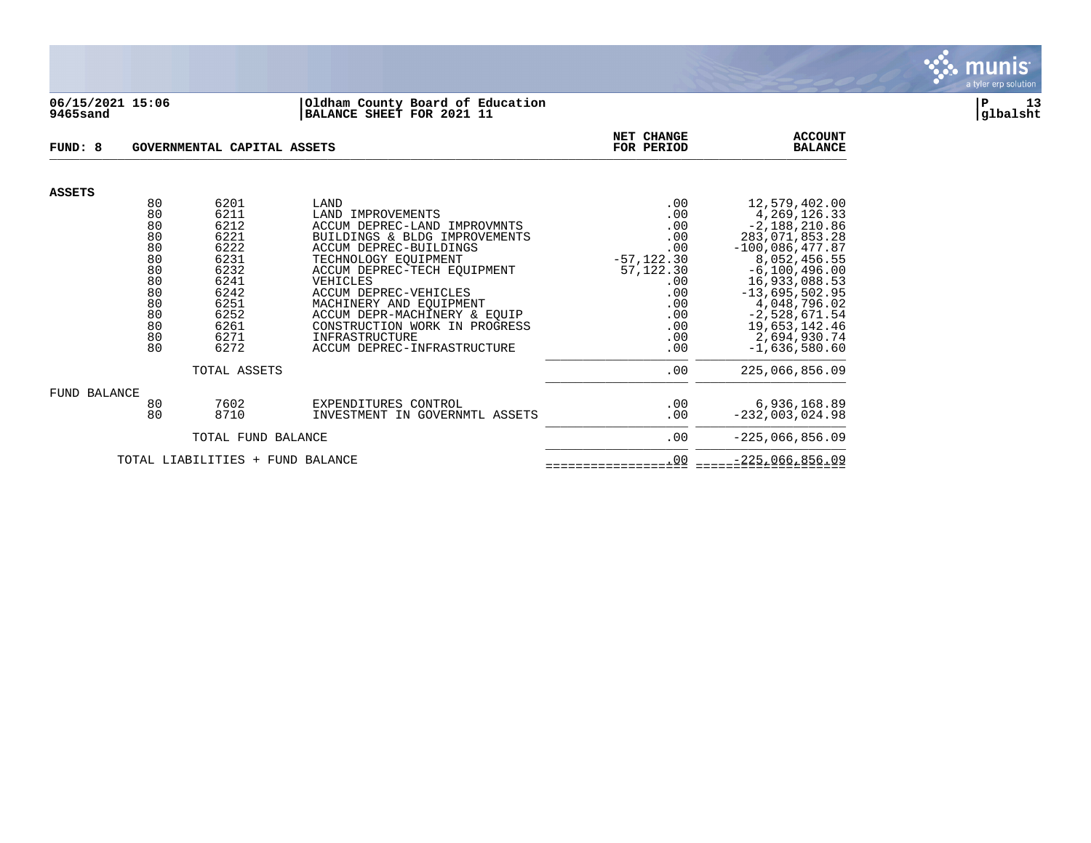

#### **06/15/2021 15:06 |Oldham County Board of Education |P 13 9465sand |BALANCE SHEET FOR 2021 11 |glbalsht**

| FUND: 8                          |                                                                                  | GOVERNMENTAL CAPITAL ASSETS                                                                                  |                                                                                                                                                                                                                                                                                                                                                               | <b>NET CHANGE</b><br>FOR PERIOD                                                                                | <b>ACCOUNT</b><br><b>BALANCE</b>                                                                                                                                                                                                                            |
|----------------------------------|----------------------------------------------------------------------------------|--------------------------------------------------------------------------------------------------------------|---------------------------------------------------------------------------------------------------------------------------------------------------------------------------------------------------------------------------------------------------------------------------------------------------------------------------------------------------------------|----------------------------------------------------------------------------------------------------------------|-------------------------------------------------------------------------------------------------------------------------------------------------------------------------------------------------------------------------------------------------------------|
| <b>ASSETS</b>                    |                                                                                  |                                                                                                              |                                                                                                                                                                                                                                                                                                                                                               |                                                                                                                |                                                                                                                                                                                                                                                             |
|                                  | 80<br>80<br>80<br>80<br>80<br>80<br>80<br>80<br>80<br>80<br>80<br>80<br>80<br>80 | 6201<br>6211<br>6212<br>6221<br>6222<br>6231<br>6232<br>6241<br>6242<br>6251<br>6252<br>6261<br>6271<br>6272 | LAND<br>LAND IMPROVEMENTS<br>ACCUM DEPREC-LAND IMPROVMNTS<br>BUILDINGS & BLDG IMPROVEMENTS<br>ACCUM DEPREC-BUILDINGS<br>TECHNOLOGY EOUIPMENT<br>ACCUM DEPREC-TECH EOUIPMENT<br>VEHICLES<br>ACCUM DEPREC-VEHICLES<br>MACHINERY AND EQUIPMENT<br>ACCUM DEPR-MACHINERY & EQUIP<br>CONSTRUCTION WORK IN PROGRESS<br>INFRASTRUCTURE<br>ACCUM DEPREC-INFRASTRUCTURE | .00<br>.00<br>.00<br>.00<br>.00<br>$-57, 122.30$<br>57,122.30<br>.00<br>.00<br>.00<br>.00<br>.00<br>.00<br>.00 | 12,579,402.00<br>4, 269, 126. 33<br>$-2,188,210.86$<br>283,071,853.28<br>$-100,086,477.87$<br>8,052,456.55<br>$-6, 100, 496.00$<br>16,933,088.53<br>$-13,695,502.95$<br>4,048,796.02<br>$-2,528,671.54$<br>19,653,142.46<br>2,694,930.74<br>$-1,636,580.60$ |
|                                  |                                                                                  | TOTAL ASSETS                                                                                                 | .00                                                                                                                                                                                                                                                                                                                                                           | 225,066,856.09                                                                                                 |                                                                                                                                                                                                                                                             |
| FUND BALANCE                     | 80<br>80                                                                         | 7602<br>8710                                                                                                 | EXPENDITURES CONTROL<br>INVESTMENT IN GOVERNMTL ASSETS                                                                                                                                                                                                                                                                                                        | .00<br>.00                                                                                                     | 6,936,168.89<br>$-232,003,024.98$                                                                                                                                                                                                                           |
|                                  |                                                                                  | TOTAL FUND BALANCE                                                                                           | .00                                                                                                                                                                                                                                                                                                                                                           | $-225,066,856.09$                                                                                              |                                                                                                                                                                                                                                                             |
| TOTAL LIABILITIES + FUND BALANCE |                                                                                  |                                                                                                              |                                                                                                                                                                                                                                                                                                                                                               | .00                                                                                                            | $-225,066,856.09$                                                                                                                                                                                                                                           |